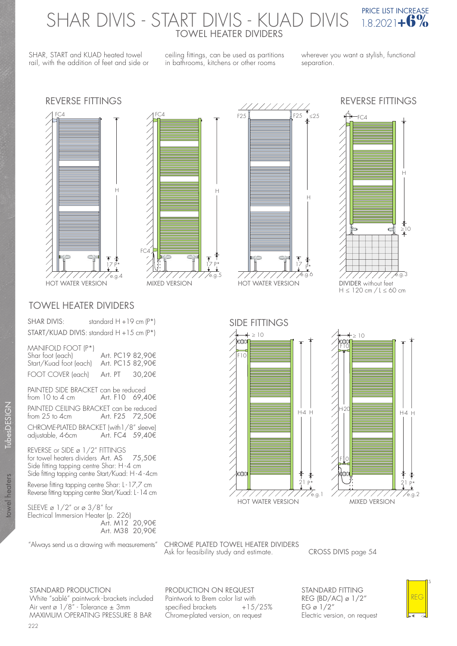# SHAR DIVIS - START DIVIS - KUAD DIVIS <sup>PRICE LIST INCREASE</sup> TOWEL HEATER DIVIDERS

SHAR, START and KUAD heated towel rail, with the addition of feet and side or ceiling fittings, can be used as partitions in bathrooms, kitchens or other rooms

wherever you want a stylish, functional separation.

## REVERSE FITTINGS REVERSE FITTINGS





### TOWEL HEATER DIVIDERS

SHAR DIVIS: standard H + 19 cm (P\*) START/KUAD DIVIS: standard H +15 cm (P\*)

#### MANIFOLD FOOT (P\*)

| Shar foot (each)<br>Start/Kuad foot (each) | Art. PC19 82,90€<br>Art. PC15 82.90€ |        |
|--------------------------------------------|--------------------------------------|--------|
| FOOT COVER (each)                          | Art. PT                              | 30.20€ |

PAINTED SIDE BRACKET can be reduced<br>from 10 to 4 cm 4rt. F10 69,4 Art. F10 69,40€ PAINTED CEILING BRACKET can be reduced<br>from 25 to 4cm Art. F25 72,50€ Art. F25  $72,50$ € CHROME-PLATED BRACKET (with1/8" sleeve)<br>adjustable, 4-6cm Art. FC4 59,40€

Art. FC4 59,40€

REVERSE or SIDE ø 1/2" FITTINGS for towel heaters dividers Art. AS 75,50€ Side fitting tapping centre Shar: H-4 cm Side fitting tapping centre Start/Kuad: H-4-4cm

Reverse fitting tapping centre Shar: L - 17,7 cm Reverse fitting tapping centre Start/Kuad: L - 14 cm

SLEEVE ø 1/2" or ø 3/8" for Electrical Immersion Heater (p. 226) Art. M12 20,90€ Art. M38 20,90€

"Always send us a drawing with measurements" CHROME PLATED TOWEL HEATER DIVIDERS Ask for feasibility study and estimate. CROSS DIVIS page 54

PRODUCTION ON REQUEST

STANDARD PRODUCTION White "sablé" paintwork - brackets included Air vent ø 1/8" - Tolerance ± 3mm MAXIMUM OPERATING PRESSURE 8 BAR

Paintwork to Brem color list with<br>specified brackets +15/25% specified brackets Chrome-plated version, on request

STANDARD FITTING REG (BD/AC) ø 1/2" EG ø  $1/2$ " Electric version, on request



¥





H

 $\frac{17}{1}$   $\frac{1}{2}$ 

 $\frac{1}{25}$  F25